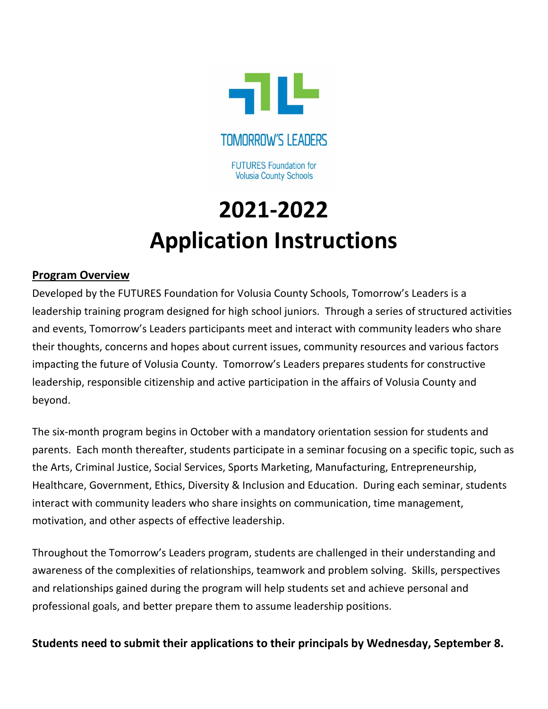

**TOMORROW'S LEADERS** 

**FUTURES Foundation for Volusia County Schools** 

## **2021-2022 Application Instructions**

## **Program Overview**

Developed by the FUTURES Foundation for Volusia County Schools, Tomorrow's Leaders is a leadership training program designed for high school juniors. Through a series of structured activities and events, Tomorrow's Leaders participants meet and interact with community leaders who share their thoughts, concerns and hopes about current issues, community resources and various factors impacting the future of Volusia County. Tomorrow's Leaders prepares students for constructive leadership, responsible citizenship and active participation in the affairs of Volusia County and beyond.

The six-month program begins in October with a mandatory orientation session for students and parents. Each month thereafter, students participate in a seminar focusing on a specific topic, such as the Arts, Criminal Justice, Social Services, Sports Marketing, Manufacturing, Entrepreneurship, Healthcare, Government, Ethics, Diversity & Inclusion and Education. During each seminar, students interact with community leaders who share insights on communication, time management, motivation, and other aspects of effective leadership.

Throughout the Tomorrow's Leaders program, students are challenged in their understanding and awareness of the complexities of relationships, teamwork and problem solving. Skills, perspectives and relationships gained during the program will help students set and achieve personal and professional goals, and better prepare them to assume leadership positions.

**Students need to submit their applications to their principals by Wednesday, September 8.**